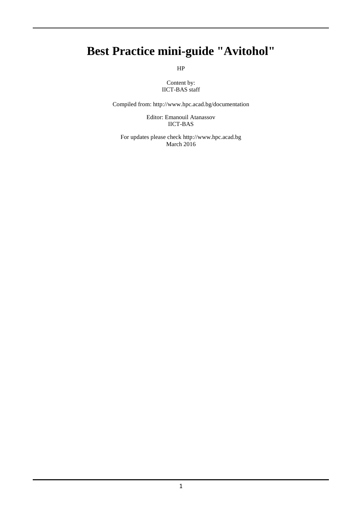## **Best Practice mini-guide "Avitohol"**

HP

Content by: IICT-BAS staff

Compiled from: http://www.hpc.acad.bg/documentation

Editor: Emanouil Atanassov IICT-BAS

For updates please check http://www.hpc.acad.bg March 2016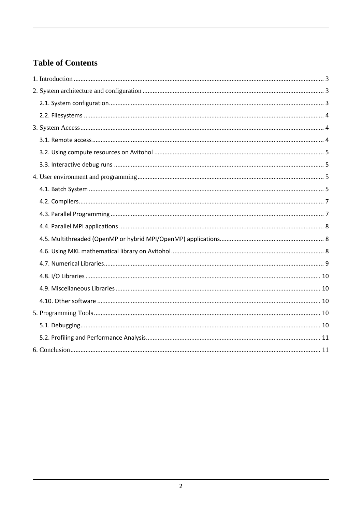## **Table of Contents**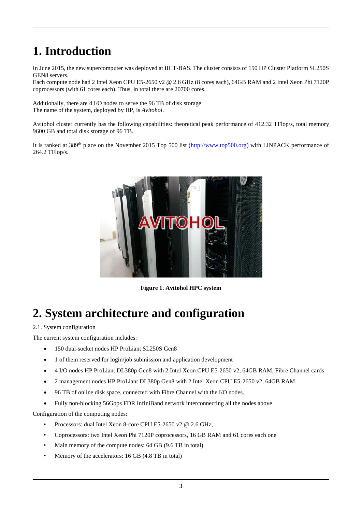# <span id="page-2-0"></span>**1. Introduction**

In June 2015, the new supercomputer was deployed at IICT-BAS. The cluster consists of 150 HP Cluster Platform SL250S GEN8 servers.

Each compute node had 2 Intel Xeon CPU E5-2650 v2 @ 2.6 GHz (8 cores each), 64GB RAM and 2 Intel Xeon Phi 7120P coprocessors (with 61 cores each). Thus, in total there are 20700 cores.

Additionally, there are 4 I/O nodes to serve the 96 TB of disk storage. The name of the system, deployed by HP, is *Avitohol*.

Avitohol cluster currently has the following capabilities: theoretical peak performance of 412.32 TFlop/s, total memory 9600 GB and total disk storage of 96 TB.

It is ranked at 389<sup>th</sup> place on the November 2015 Top 500 list [\(http://www.top500.org\)](http://www.top500.org/) with LINPACK performance of 264.2 TFlop/s.



**Figure 1. Avitohol HPC system**

## <span id="page-2-1"></span>**2. System architecture and configuration**

<span id="page-2-2"></span>2.1. System configuration

The current system configuration includes:

- 150 dual-socket nodes HP ProLiant SL250S Gen8
- 1 of them reserved for login/job submission and application development
- 4 I/O nodes HP ProLiant DL380p Gen8 with 2 Intel Xeon CPU E5-2650 v2, 64GB RAM, Fibre Channel cards
- 2 management nodes HP ProLiant DL380p Gen8 with 2 Intel Xeon CPU E5-2650 v2, 64GB RAM
- 96 TB of online disk space, connected with Fibre Channel with the I/O nodes.
- Fully non-blocking 56Gbps FDR InfiniBand network interconnecting all the nodes above

Configuration of the computing nodes:

- Processors: dual Intel Xeon 8-core CPU E5-2650 v2 @ 2.6 GHz,
- Coprocessors: two Intel Xeon Phi 7120P coprocessors, 16 GB RAM and 61 cores each one
- Main memory of the compute nodes: 64 GB (9.6 TB in total)
- Memory of the accelerators: 16 GB (4.8 TB in total)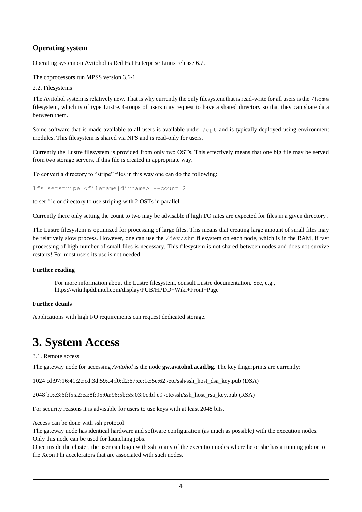## **Operating system**

Operating system on Avitohol is Red Hat Enterprise Linux release 6.7.

The coprocessors run MPSS version 3.6-1.

<span id="page-3-0"></span>2.2. Filesystems

The Avitohol system is relatively new. That is why currently the only filesystem that is read-write for all users is the /home filesystem, which is of type Lustre. Groups of users may request to have a shared directory so that they can share data between them.

Some software that is made available to all users is available under /opt and is typically deployed using environment modules. This filesystem is shared via NFS and is read-only for users.

Currently the Lustre filesystem is provided from only two OSTs. This effectively means that one big file may be served from two storage servers, if this file is created in appropriate way.

To convert a directory to "stripe" files in this way one can do the following:

lfs setstripe <filename|dirname> --count 2

to set file or directory to use striping with 2 OSTs in parallel.

Currently there only setting the count to two may be advisable if high I/O rates are expected for files in a given directory.

The Lustre filesystem is optimized for processing of large files. This means that creating large amount of small files may be relatively slow process. However, one can use the /dev/shm filesystem on each node, which is in the RAM, if fast processing of high number of small files is necessary. This filesystem is not shared between nodes and does not survive restarts! For most users its use is not needed.

### **Further reading**

For more information about the Lustre filesystem, consult Lustre documentation. See, e.g., https://wiki.hpdd.intel.com/display/PUB/HPDD+Wiki+Front+Page

### **Further details**

<span id="page-3-1"></span>Applications with high I/O requirements can request dedicated storage.

## **3. System Access**

#### <span id="page-3-2"></span>3.1. Remote access

The gateway node for accessing *Avitohol* is the node **gw.avitohol.acad.bg**. The key fingerprints are currently:

1024 cd:97:16:41:2c:cd:3d:59:c4:f0:d2:67:ce:1c:5e:62 /etc/ssh/ssh\_host\_dsa\_key.pub (DSA)

2048 b9:e3:6f:f5:a2:ea:8f:95:0a:96:5b:55:03:0c:bf:e9 /etc/ssh/ssh\_host\_rsa\_key.pub (RSA)

For security reasons it is advisable for users to use keys with at least 2048 bits.

Access can be done with ssh protocol.

The gateway node has identical hardware and software configuration (as much as possible) with the execution nodes. Only this node can be used for launching jobs.

Once inside the cluster, the user can login with ssh to any of the execution nodes where he or she has a running job or to the Xeon Phi accelerators that are associated with such nodes.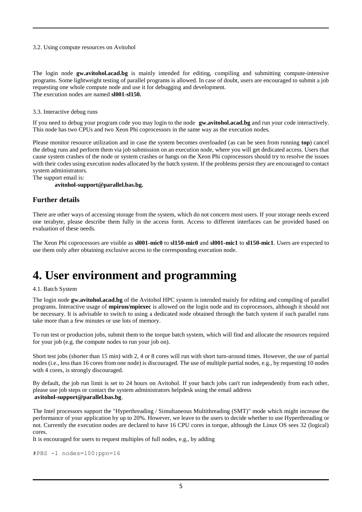#### <span id="page-4-0"></span>3.2. Using compute resources on Avitohol

The login node **gw.avitohol.acad.bg** is mainly intended for editing, compiling and submitting compute-intensive programs. Some lightweight testing of parallel programs is allowed. In case of doubt, users are encouraged to submit a job requesting one whole compute node and use it for debugging and development. The execution nodes are named **sl001-sl150.**

<span id="page-4-1"></span>3.3. Interactive debug runs

If you need to debug your program code you may login to the node **gw.avitohol.acad.bg** and run your code interactively. This node has two CPUs and two Xeon Phi coprocessors in the same way as the execution nodes.

Please monitor resource utilization and in case the system becomes overloaded (as can be seen from running **top**) cancel the debug runs and perform them via job submission on an execution node, where you will get dedicated access. Users that cause system crashes of the node or system crashes or hangs on the Xeon Phi coprocessors should try to resolve the issues with their codes using execution nodes allocated by the batch system. If the problems persist they are encouraged to contact system administrators.

The support email is:

### **avitohol-support@parallel.bas.bg.**

### **Further details**

There are other ways of accessing storage from the system, which do not concern most users. If your storage needs exceed one terabyte, please describe them fully in the access form. Access to different interfaces can be provided based on evaluation of these needs.

The Xeon Phi coprocessors are visible as **sl001-mic0** to **sl150-mic0** and **sl001-mic1** to **sl150-mic1**. Users are expected to use them only after obtaining exclusive access to the corresponding execution node.

## <span id="page-4-2"></span>**4. User environment and programming**

#### <span id="page-4-3"></span>4.1. Batch System

The login node **gw.avitohol.acad.bg** of the Avitohol HPC system is intended mainly for editing and compiling of parallel programs. Interactive usage of **mpirun/mpiexec** is allowed on the login node and its coprocessors, although it should not be necessary. It is advisable to switch to using a dedicated node obtained through the batch system if such parallel runs take more than a few minutes or use lots of memory.

To run test or production jobs, submit them to the torque batch system, which will find and allocate the resources required for your job (e.g. the compute nodes to run your job on).

Short test jobs (shorter than 15 min) with 2, 4 or 8 cores will run with short turn-around times. However, the use of partial nodes (i.e., less than 16 cores from one node) is discouraged. The use of multiple partial nodes, e.g., by requesting 10 nodes with 4 cores, is strongly discouraged.

By default, the job run limit is set to 24 hours on Avitohol. If your batch jobs can't run independently from each other, please use job steps or contact the system administrators helpdesk using the email address **avitohol-support@parallel.bas.bg**.

The Intel processors support the "Hyperthreading / Simultaneous Multithreading (SMT)" mode which might increase the performance of your application by up to 20%. However, we leave to the users to decide whether to use Hyperthreading or not. Currently the execution nodes are declared to have 16 CPU cores in torque, although the Linux OS sees 32 (logical) cores.

It is encouraged for users to request multiples of full nodes, e.g., by adding

```
#PBS -l nodes=100:ppn=16
```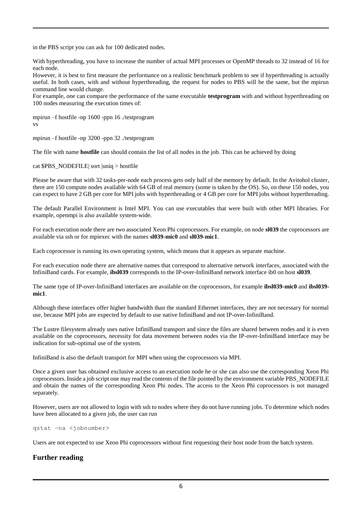in the PBS script you can ask for 100 dedicated nodes.

With hyperthreading, you have to increase the number of actual MPI processes or OpenMP threads to 32 instead of 16 for each node.

However, it is best to first measure the performance on a realistic benchmark problem to see if hyperthreading is actually useful. In both cases, with and without hyperthreading, the request for nodes to PBS will be the same, but the mpirun command line would change.

For example, one can compare the performance of the same executable **testprogram** with and without hyperthreading on 100 nodes measuring the execution times of:

mpirun –f hostfile -np 1600 -ppn 16 ./testprogram vs

mpirun –f hostfile -np 3200 -ppn 32 ./testprogram

The file with name **hostfile** can should contain the list of all nodes in the job. This can be achieved by doing

cat \$PBS\_NODEFILE| sort |uniq > hostfile

Please be aware that with 32 tasks-per-node each process gets only half of the memory by default. In the Avitohol cluster, there are 150 compute nodes available with 64 GB of real memory (some is taken by the OS). So, on these 150 nodes, you can expect to have 2 GB per core for MPI jobs with hyperthreading or 4 GB per core for MPI jobs without hyperthreading.

The default Parallel Environment is Intel MPI. You can use executables that were built with other MPI libraries. For example, openmpi is also available system-wide.

For each execution node there are two associated Xeon Phi coprocessors. For example, on node **sl039** the coprocessors are available via ssh or for mpiexec with the names **sl039-mic0** and **sl039-mic1**.

Each coprocessor is running its own operating system, which means that it appears as separate machine.

For each execution node there are alternative names that correspond to alternative network interfaces, associated with the InfiniBand cards. For example, **ibsl039** corresponds to the IP-over-InfiniBand network interface ib0 on host **sl039**.

The same type of IP-over-InfiniBand interfaces are available on the coprocessors, for example **ibsl039-mic0** and **ibsl039 mic1**.

Although these interfaces offer higher bandwidth than the standard Ethernet interfaces, they are not necessary for normal use, because MPI jobs are expected by default to use native InfiniBand and not IP-over-InfiniBand.

The Lustre filesystem already uses native InfiniBand transport and since the files are shared between nodes and it is even available on the coprocessors, necessity for data movement between nodes via the IP-over-InfiniBand interface may be indication for sub-optimal use of the system.

InfiniBand is also the default transport for MPI when using the coprocessors via MPI.

Once a given user has obtained exclusive access to an execution node he or she can also use the corresponding Xeon Phi coprocessors. Inside a job script one may read the contents of the file pointed by the environment variable PBS\_NODEFILE and obtain the names of the corresponding Xeon Phi nodes. The access to the Xeon Phi coprocessors is not managed separately.

However, users are not allowed to login with ssh to nodes where they do not have running jobs. To determine which nodes have been allocated to a given job, the user can run

qstat –na <jobnumber>

Users are not expected to use Xeon Phi coprocessors without first requesting their host node from the batch system.

## **Further reading**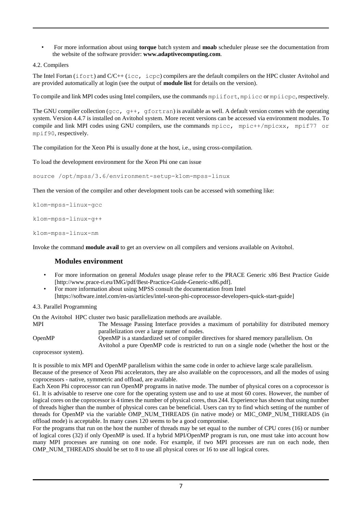• For more information about using **torque** batch system and **moab** scheduler please see the documentation from the website of the software provider: **www.adaptivecomputing.com**.

```
4.2. Compilers
```
The Intel Fortan (ifort) and C/C++ (icc, icpc) compilers are the default compilers on the HPC cluster Avitohol and are provided automatically at login (see the output of **module list** for details on the version).

To compile and link MPI codes using Intel compilers, use the commands mpiifort, mpiicc or mpiicpc, respectively.

The GNU compiler collection ( $qcc$ ,  $q++$ ,  $qfortran$ ) is available as well. A default version comes with the operating system. Version 4.4.7 is installed on Avitohol system. More recent versions can be accessed via environment modules. To compile and link MPI codes using GNU compilers, use the commands mpice, mpic++/mpicxx, mpif77 or mpif90, respectively.

The compilation for the Xeon Phi is usually done at the host, i.e., using cross-compilation.

To load the development environment for the Xeon Phi one can issue

source /opt/mpss/3.6/environment-setup-k1om-mpss-linux

Then the version of the compiler and other development tools can be accessed with something like:

k1om-mpss-linux-gcc

k1om-mpss-linux-g++

k1om-mpss-linux-nm

Invoke the command **module avail** to get an overview on all compilers and versions available on Avitohol.

## **Modules environment**

- For more information on general *Modules* usage please refer to the PRACE Generic x86 Best Practice Guide [http://www.prace-ri.eu/IMG/pdf/Best-Practice-Guide-Generic-x86.pdf].
- For more information about using MPSS consult the documentation from Intel [https://software.intel.com/en-us/articles/intel-xeon-phi-coprocessor-developers-quick-start-guide]

### <span id="page-6-1"></span>4.3. Parallel Programming

On the Avitohol HPC cluster two basic parallelization methods are available.

MPI The Message Passing Interface provides a maximum of portability for distributed memory parallelization over a large numer of nodes. OpenMP OpenMP is a standardized set of compiler directives for shared memory parallelism. On

Avitohol a pure OpenMP code is restricted to run on a single node (whether the host or the

coprocessor system).

It is possible to mix MPI and OpenMP parallelism within the same code in order to achieve large scale parallelism.

Because of the presence of Xeon Phi accelerators, they are also available on the coprocessors, and all the modes of using coprocessors - native, symmetric and offload, are available.

Each Xeon Phi coprocessor can run OpenMP programs in native mode. The number of physical cores on a coprocessor is 61. It is advisable to reserve one core for the operating system use and to use at most 60 cores. However, the number of logical cores on the coprocessor is 4 times the number of physical cores, thus 244. Experience has shown that using number of threads higher than the number of physical cores can be beneficial. Users can try to find which setting of the number of threads for OpenMP via the variable OMP\_NUM\_THREADS (in native mode) or MIC\_OMP\_NUM\_THREADS (in offload mode) is acceptable. In many cases 120 seems to be a good compromise.

For the programs that run on the host the number of threads may be set equal to the number of CPU cores (16) or number of logical cores (32) if only OpenMP is used. If a hybrid MPI/OpenMP program is run, one must take into account how many MPI processes are running on one node. For example, if two MPI processes are run on each node, then OMP\_NUM\_THREADS should be set to 8 to use all physical cores or 16 to use all logical cores.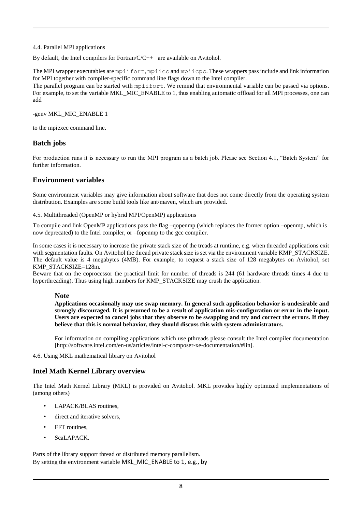#### <span id="page-7-0"></span>4.4. Parallel MPI applications

By default, the Intel compilers for Fortran/C/C++ are available on Avitohol.

The MPI wrapper executables are mpiifort, mpiicc and mpiicpc. These wrappers pass include and link information for MPI together with compiler-specific command line flags down to the Intel compiler.

The parallel program can be started with mpiifort. We remind that environmental variable can be passed via options. For example, to set the variable MKL\_MIC\_ENABLE to 1, thus enabling automatic offload for all MPI processes, one can add

-genv MKL\_MIC\_ENABLE 1

to the mpiexec command line.

## **Batch jobs**

For production runs it is necessary to run the MPI program as a batch job. Please see Section 4.1, "Batch System" for further information.

## **Environment variables**

Some environment variables may give information about software that does not come directly from the operating system distribution. Examples are some build tools like ant/maven, which are provided.

<span id="page-7-1"></span>4.5. Multithreaded (OpenMP or hybrid MPI/OpenMP) applications

To compile and link OpenMP applications pass the flag –qopenmp (which replaces the former option –openmp, which is now deprecated) to the Intel compiler, or –fopenmp to the gcc compiler.

In some cases it is necessary to increase the private stack size of the treads at runtime, e.g. when threaded applications exit with segmentation faults. On Avitohol the thread private stack size is set via the environment variable KMP\_STACKSIZE. The default value is 4 megabytes (4MB). For example, to request a stack size of 128 megabytes on Avitohol, set KMP\_STACKSIZE=128m.

Beware that on the coprocessor the practical limit for number of threads is 244 (61 hardware threads times 4 due to hyperthreading). Thus using high numbers for KMP\_STACKSIZE may crush the application.

### **Note**

**Applications occasionally may use swap memory. In general such application behavior is undesirable and strongly discouraged. It is presumed to be a result of application mis-configuration or error in the input. Users are expected to cancel jobs that they observe to be swapping and try and correct the errors. If they believe that this is normal behavior, they should discuss this with system administrators.**

For information on compiling applications which use pthreads please consult the Intel compiler documentation [http://software.intel.com/en-us/articles/intel-c-composer-xe-documentation/#lin].

<span id="page-7-2"></span>4.6. Using MKL mathematical library on Avitohol

## **Intel Math Kernel Library overview**

The Intel Math Kernel Library (MKL) is provided on Avitohol. MKL provides highly optimized implementations of (among others)

- LAPACK/BLAS routines,
- direct and iterative solvers.
- FFT routines.
- ScaLAPACK

Parts of the library support thread or distributed memory parallelism. By setting the environment variable MKL\_MIC\_ENABLE to 1, e.g., by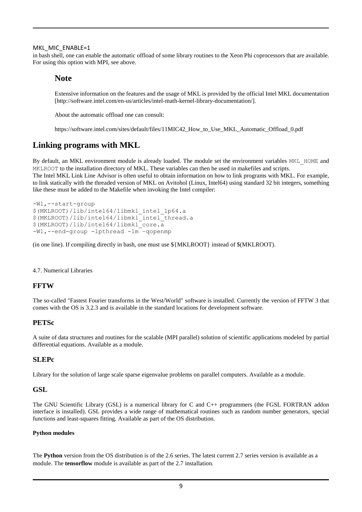#### MKL\_MIC\_ENABLE=1

in bash shell, one can enable the automatic offload of some library routines to the Xeon Phi coprocessors that are available. For using this option with MPI, see above.

## **Note**

Extensive information on the features and the usage of MKL is provided by the official Intel MKL documentation [http://software.intel.com/en-us/articles/intel-math-kernel-library-documentation/].

About the automatic offload one can consult:

https://software.intel.com/sites/default/files/11MIC42\_How\_to\_Use\_MKL\_Automatic\_Offload\_0.pdf

## **Linking programs with MKL**

By default, an MKL environment module is already loaded. The module set the environment variables MKL\_HOME and MKLROOT to the installation directory of MKL. These variables can then be used in makefiles and scripts.

The Intel MKL Link Line Advisor is often useful to obtain information on how to link programs with MKL. For example, to link statically with the threaded version of MKL on Avitohol (Linux, Intel64) using standard 32 bit integers, something like these must be added to the Makefile when invoking the Intel compiler:

```
-Wl,--start-group
$(MKLROOT)/lib/intel64/libmkl_intel_lp64.a
$(MKLROOT)/lib/intel64/libmkl_intel_thread.a
$(MKLROOT)/lib/intel64/libmkl_core.a
-Wl,--end-group -lpthread -lm –qopenmp
```
(in one line). If compiling directly in bash, one must use \${MKLROOT} instead of \$(MKLROOT).

#### <span id="page-8-0"></span>4.7. Numerical Libraries

### **FFTW**

The so-called "Fastest Fourier transforms in the West/World" software is installed. Currently the version of FFTW 3 that comes with the OS is 3.2.3 and is available in the standard locations for development software.

#### **PETSc**

A suite of data structures and routines for the scalable (MPI parallel) solution of scientific applications modeled by partial differential equations. Available as a module.

### **SLEPc**

Library for the solution of large scale sparse eigenvalue problems on parallel computers. Available as a module.

#### **GSL**

The GNU Scientific Library (GSL) is a numerical library for C and C++ programmers (the FGSL FORTRAN addon interface is installed). GSL provides a wide range of mathematical routines such as random number generators, special functions and least-squares fitting. Available as part of the OS distribution.

#### **Python modules**

The **Python** version from the OS distribution is of the 2.6 series. The latest current 2.7 series version is available as a module. The **tensorflow** module is available as part of the 2.7 installation.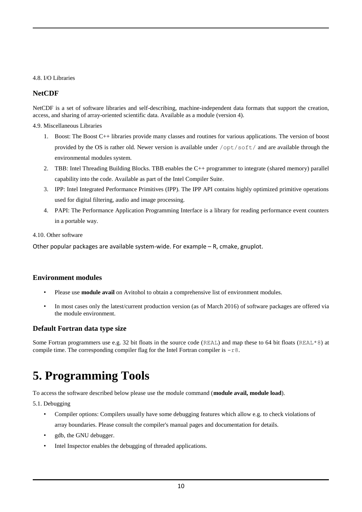### <span id="page-9-0"></span>4.8. I/O Libraries

## **NetCDF**

NetCDF is a set of software libraries and self-describing, machine-independent data formats that support the creation, access, and sharing of array-oriented scientific data. Available as a module (version 4).

<span id="page-9-1"></span>4.9. Miscellaneous Libraries

- 1. Boost: The Boost C++ libraries provide many classes and routines for various applications. The version of boost provided by the OS is rather old. Newer version is available under /opt/soft/ and are available through the environmental modules system.
- 2. TBB: Intel Threading Building Blocks. TBB enables the C++ programmer to integrate (shared memory) parallel capability into the code. Available as part of the Intel Compiler Suite.
- 3. IPP: Intel Integrated Performance Primitives (IPP). The IPP API contains highly optimized primitive operations used for digital filtering, audio and image processing.
- 4. PAPI: The Performance Application Programming Interface is a library for reading performance event counters in a portable way.

### <span id="page-9-2"></span>4.10. Other software

Other popular packages are available system-wide. For example – R, cmake, gnuplot.

## **Environment modules**

- Please use **module avail** on Avitohol to obtain a comprehensive list of environment modules.
- In most cases only the latest/current production version (as of March 2016) of software packages are offered via the module environment.

## **Default Fortran data type size**

Some Fortran programmers use e.g. 32 bit floats in the source code (REAL) and map these to 64 bit floats (REAL\*8) at compile time. The corresponding compiler flag for the Intel Fortran compiler is  $-r8$ .

## <span id="page-9-3"></span>**5. Programming Tools**

To access the software described below please use the module command (**module avail, module load**).

<span id="page-9-4"></span>5.1. Debugging

- Compiler options: Compilers usually have some debugging features which allow e.g. to check violations of array boundaries. Please consult the compiler's manual pages and documentation for details.
- gdb, the GNU debugger.
- Intel Inspector enables the debugging of threaded applications.